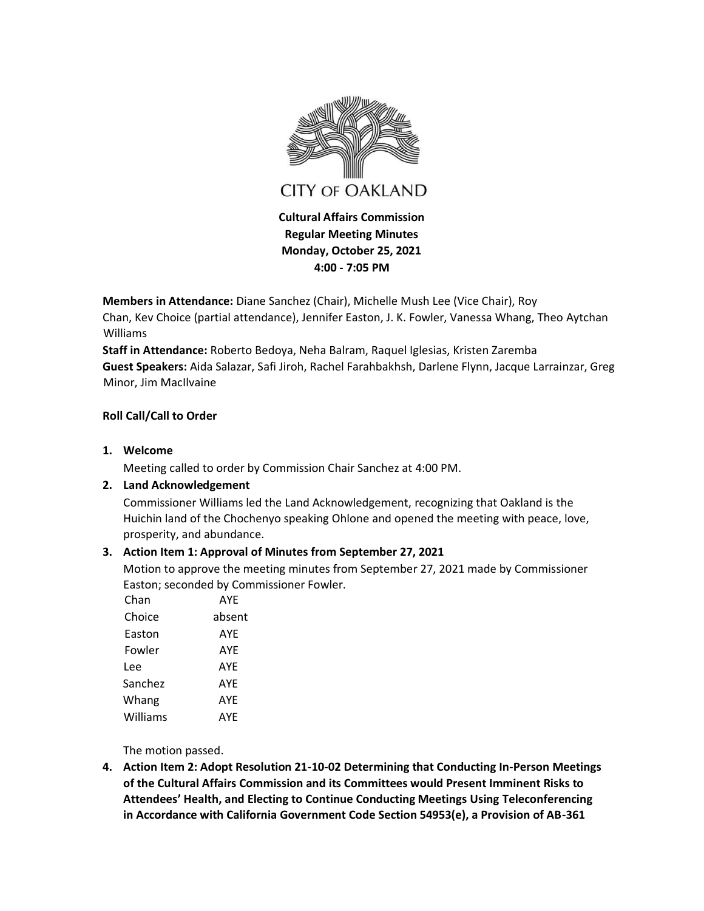

**Regular Meeting Minutes Monday, October 25, 2021 4:00 - 7:05 PM** 

**Members in Attendance:** Diane Sanchez (Chair), Michelle Mush Lee (Vice Chair), Roy

Chan, Kev Choice (partial attendance), Jennifer Easton, J. K. Fowler, Vanessa Whang, Theo Aytchan Williams

**Staff in Attendance:** Roberto Bedoya, Neha Balram, Raquel Iglesias, Kristen Zaremba **Guest Speakers:** Aida Salazar, Safi Jiroh, Rachel Farahbakhsh, Darlene Flynn, Jacque Larrainzar, Greg Minor, Jim MacIlvaine

### **Roll Call/Call to Order**

**1. Welcome**

Meeting called to order by Commission Chair Sanchez at 4:00 PM.

# **2. Land Acknowledgement**

Commissioner Williams led the Land Acknowledgement, recognizing that Oakland is the Huichin land of the Chochenyo speaking Ohlone and opened the meeting with peace, love, prosperity, and abundance.

# **3. Action Item 1: Approval of Minutes from September 27, 2021**

Motion to approve the meeting minutes from September 27, 2021 made by Commissioner Easton; seconded by Commissioner Fowler.

| Chan     | AYE    |
|----------|--------|
| Choice   | absent |
| Easton   | AYE    |
| Fowler   | AYE    |
| Lee      | AYE    |
| Sanchez  | AYE    |
| Whang    | AYE    |
| Williams | AYE    |

The motion passed.

**4. Action Item 2: Adopt Resolution 21-10-02 Determining that Conducting In-Person Meetings of the Cultural Affairs Commission and its Committees would Present Imminent Risks to Attendees' Health, and Electing to Continue Conducting Meetings Using Teleconferencing in Accordance with California Government Code Section 54953(e), a Provision of AB-361**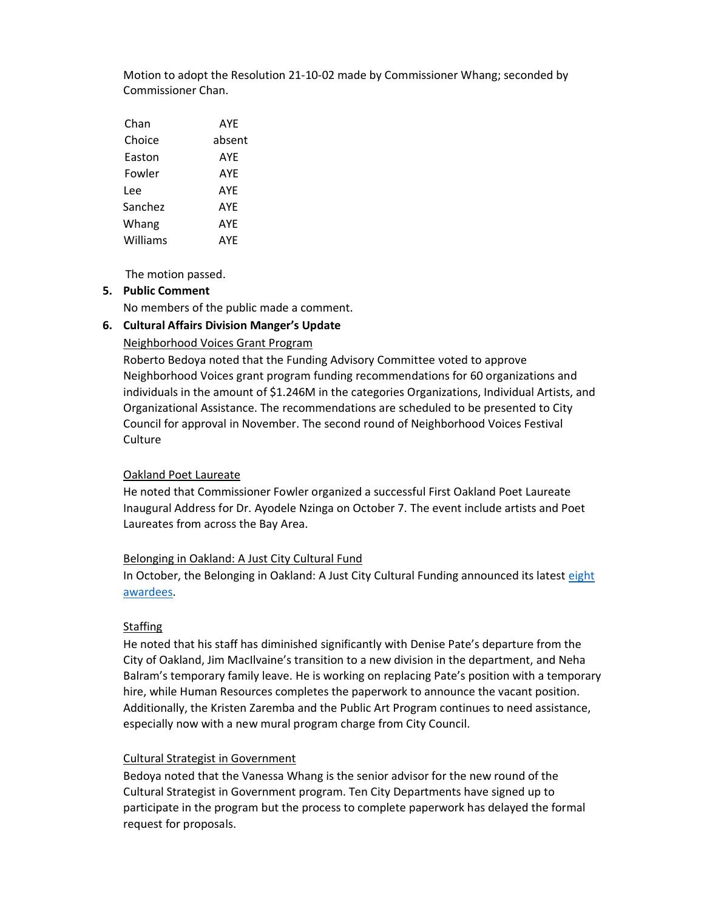Motion to adopt the Resolution 21-10-02 made by Commissioner Whang; seconded by Commissioner Chan.

| Chan     | AYE    |
|----------|--------|
| Choice   | absent |
| Easton   | AYE    |
| Fowler   | AYE    |
| Lee      | AYF    |
| Sanchez  | AYE    |
| Whang    | AYE    |
| Williams | AYE    |

The motion passed.

#### **5. Public Comment**

No members of the public made a comment.

### **6. Cultural Affairs Division Manger's Update**

#### Neighborhood Voices Grant Program

Roberto Bedoya noted that the Funding Advisory Committee voted to approve Neighborhood Voices grant program funding recommendations for 60 organizations and individuals in the amount of \$1.246M in the categories Organizations, Individual Artists, and Organizational Assistance. The recommendations are scheduled to be presented to City Council for approval in November. The second round of Neighborhood Voices Festival Culture

#### Oakland Poet Laureate

He noted that Commissioner Fowler organized a successful First Oakland Poet Laureate Inaugural Address for Dr. Ayodele Nzinga on October 7. The event include artists and Poet Laureates from across the Bay Area.

#### Belonging in Oakland: A Just City Cultural Fund

In October, the Belonging in Oakland: A Just City Cultural Funding announced its latest [eight](https://www.ebcf.org/a-just-city-cultural-fund-2021-awardees/)  [awardees.](https://www.ebcf.org/a-just-city-cultural-fund-2021-awardees/)

### **Staffing**

He noted that his staff has diminished significantly with Denise Pate's departure from the City of Oakland, Jim MacIlvaine's transition to a new division in the department, and Neha Balram's temporary family leave. He is working on replacing Pate's position with a temporary hire, while Human Resources completes the paperwork to announce the vacant position. Additionally, the Kristen Zaremba and the Public Art Program continues to need assistance, especially now with a new mural program charge from City Council.

### Cultural Strategist in Government

Bedoya noted that the Vanessa Whang is the senior advisor for the new round of the Cultural Strategist in Government program. Ten City Departments have signed up to participate in the program but the process to complete paperwork has delayed the formal request for proposals.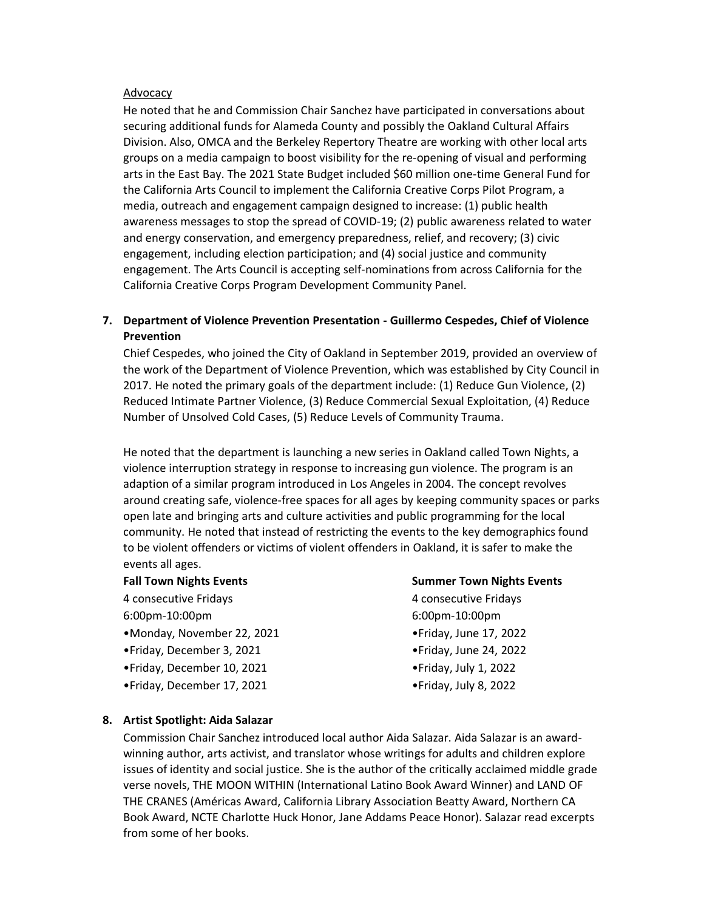### Advocacy

He noted that he and Commission Chair Sanchez have participated in conversations about securing additional funds for Alameda County and possibly the Oakland Cultural Affairs Division. Also, OMCA and the Berkeley Repertory Theatre are working with other local arts groups on a media campaign to boost visibility for the re-opening of visual and performing arts in the East Bay. The 2021 State Budget included \$60 million one-time General Fund for the California Arts Council to implement the California Creative Corps Pilot Program, a media, outreach and engagement campaign designed to increase: (1) public health awareness messages to stop the spread of COVID-19; (2) public awareness related to water and energy conservation, and emergency preparedness, relief, and recovery; (3) civic engagement, including election participation; and (4) social justice and community engagement. The Arts Council is accepting self-nominations from across California for the California Creative Corps Program Development Community Panel.

## **7. Department of Violence Prevention Presentation - Guillermo Cespedes, Chief of Violence Prevention**

Chief Cespedes, who joined the City of Oakland in September 2019, provided an overview of the work of the Department of Violence Prevention, which was established by City Council in 2017. He noted the primary goals of the department include: (1) Reduce Gun Violence, (2) Reduced Intimate Partner Violence, (3) Reduce Commercial Sexual Exploitation, (4) Reduce Number of Unsolved Cold Cases, (5) Reduce Levels of Community Trauma.

He noted that the department is launching a new series in Oakland called Town Nights, a violence interruption strategy in response to increasing gun violence. The program is an adaption of a similar program introduced in Los Angeles in 2004. The concept revolves around creating safe, violence-free spaces for all ages by keeping community spaces or parks open late and bringing arts and culture activities and public programming for the local community. He noted that instead of restricting the events to the key demographics found to be violent offenders or victims of violent offenders in Oakland, it is safer to make the events all ages.

### **Fall Town Nights Events**

4 consecutive Fridays

6:00pm-10:00pm

- •Monday, November 22, 2021
- •Friday, December 3, 2021
- •Friday, December 10, 2021
- •Friday, December 17, 2021

#### **Summer Town Nights Events**

4 consecutive Fridays 6:00pm-10:00pm •Friday, June 17, 2022

- •Friday, June 24, 2022
- •Friday, July 1, 2022
- •Friday, July 8, 2022

### **8. Artist Spotlight: Aida Salazar**

Commission Chair Sanchez introduced local author Aida Salazar. Aida Salazar is an awardwinning author, arts activist, and translator whose writings for adults and children explore issues of identity and social justice. She is the author of the critically acclaimed middle grade verse novels, THE MOON WITHIN (International Latino Book Award Winner) and LAND OF THE CRANES (Américas Award, California Library Association Beatty Award, Northern CA Book Award, NCTE Charlotte Huck Honor, Jane Addams Peace Honor). Salazar read excerpts from some of her books.